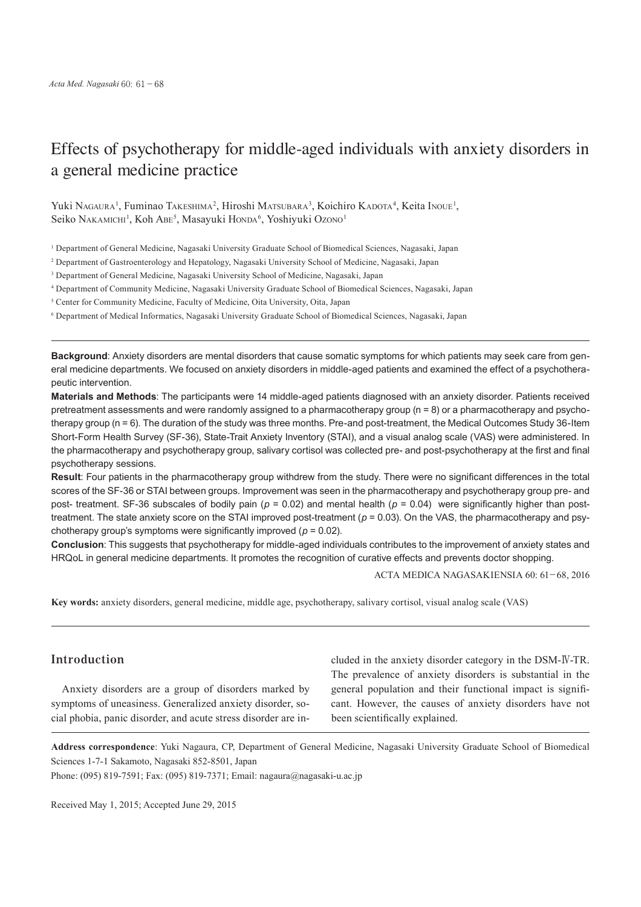# Effects of psychotherapy for middle-aged individuals with anxiety disorders in a general medicine practice

Yuki Nagaura<sup>1</sup>, Fuminao Takeshima<sup>2</sup>, Hiroshi Matsubara<sup>3</sup>, Koichiro Kadota<sup>4</sup>, Keita Inoue<sup>1</sup>, Seiko Nakamichi<sup>1</sup>, Koh Abe<sup>5</sup>, Masayuki Honda<sup>6</sup>, Yoshiyuki Ozono<sup>1</sup>

1 Department of General Medicine, Nagasaki University Graduate School of Biomedical Sciences, Nagasaki, Japan

2 Department of Gastroenterology and Hepatology, Nagasaki University School of Medicine, Nagasaki, Japan

3 Department of General Medicine, Nagasaki University School of Medicine, Nagasaki, Japan

4 Department of Community Medicine, Nagasaki University Graduate School of Biomedical Sciences, Nagasaki, Japan

<sup>5</sup> Center for Community Medicine, Faculty of Medicine, Oita University, Oita, Japan

6 Department of Medical Informatics, Nagasaki University Graduate School of Biomedical Sciences, Nagasaki, Japan

**Background**: Anxiety disorders are mental disorders that cause somatic symptoms for which patients may seek care from general medicine departments. We focused on anxiety disorders in middle-aged patients and examined the effect of a psychotherapeutic intervention.

**Materials and Methods**: The participants were 14 middle-aged patients diagnosed with an anxiety disorder. Patients received pretreatment assessments and were randomly assigned to a pharmacotherapy group (n = 8) or a pharmacotherapy and psychotherapy group (n = 6). The duration of the study was three months. Pre-and post-treatment, the Medical Outcomes Study 36-Item Short-Form Health Survey (SF-36), State-Trait Anxiety Inventory (STAI), and a visual analog scale (VAS) were administered. In the pharmacotherapy and psychotherapy group, salivary cortisol was collected pre- and post-psychotherapy at the first and final psychotherapy sessions.

**Result**: Four patients in the pharmacotherapy group withdrew from the study. There were no significant differences in the total scores of the SF-36 or STAI between groups. Improvement was seen in the pharmacotherapy and psychotherapy group pre- and post- treatment. SF-36 subscales of bodily pain (*p* = 0.02) and mental health (*p* = 0.04) were significantly higher than posttreatment. The state anxiety score on the STAI improved post-treatment (*p* = 0.03). On the VAS, the pharmacotherapy and psychotherapy group's symptoms were significantly improved (*p* = 0.02).

**Conclusion**: This suggests that psychotherapy for middle-aged individuals contributes to the improvement of anxiety states and HRQoL in general medicine departments. It promotes the recognition of curative effects and prevents doctor shopping.

ACTA MEDICA NAGASAKIENSIA 60: 61−68, 2016

**Key words:** anxiety disorders, general medicine, middle age, psychotherapy, salivary cortisol, visual analog scale (VAS)

# **Introduction**

Anxiety disorders are a group of disorders marked by symptoms of uneasiness. Generalized anxiety disorder, social phobia, panic disorder, and acute stress disorder are included in the anxiety disorder category in the DSM-Ⅳ-TR. The prevalence of anxiety disorders is substantial in the general population and their functional impact is significant. However, the causes of anxiety disorders have not been scientifically explained.

**Address correspondence**: Yuki Nagaura, CP, Department of General Medicine, Nagasaki University Graduate School of Biomedical Sciences 1-7-1 Sakamoto, Nagasaki 852-8501, Japan

Phone: (095) 819-7591; Fax: (095) 819-7371; Email: nagaura@nagasaki-u.ac.jp

Received May 1, 2015; Accepted June 29, 2015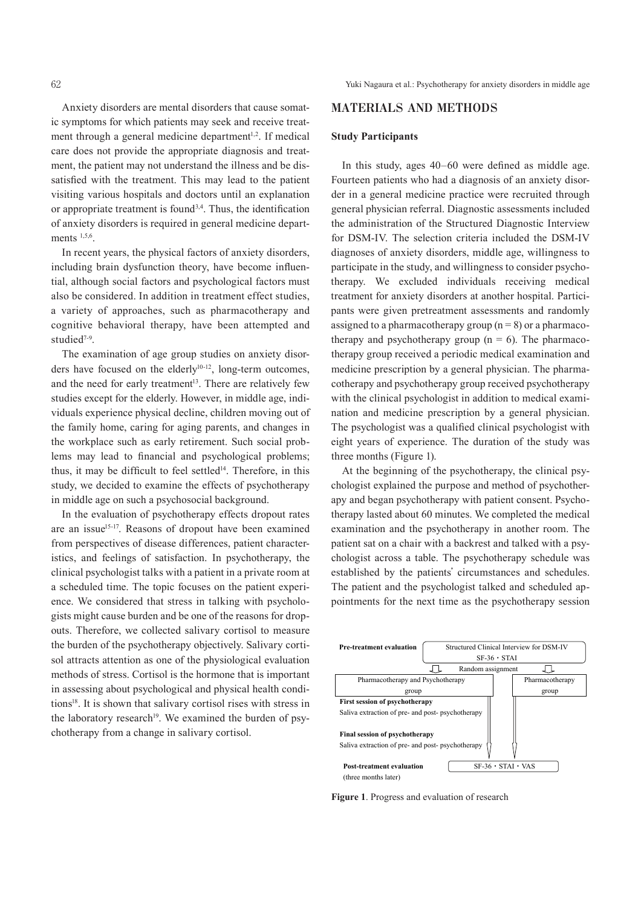Anxiety disorders are mental disorders that cause somatic symptoms for which patients may seek and receive treatment through a general medicine department<sup>1,2</sup>. If medical care does not provide the appropriate diagnosis and treatment, the patient may not understand the illness and be dissatisfied with the treatment. This may lead to the patient visiting various hospitals and doctors until an explanation or appropriate treatment is found<sup>3,4</sup>. Thus, the identification of anxiety disorders is required in general medicine departments  $1,5,6$ .

In recent years, the physical factors of anxiety disorders, including brain dysfunction theory, have become influential, although social factors and psychological factors must also be considered. In addition in treatment effect studies, a variety of approaches, such as pharmacotherapy and cognitive behavioral therapy, have been attempted and studied<sup>7-9</sup>.

The examination of age group studies on anxiety disorders have focused on the elderly<sup>10-12</sup>, long-term outcomes, and the need for early treatment 13 . There are relatively few studies except for the elderly. However, in middle age, individuals experience physical decline, children moving out of the family home, caring for aging parents, and changes in the workplace such as early retirement. Such social problems may lead to financial and psychological problems; thus, it may be difficult to feel settled<sup>14</sup>. Therefore, in this study, we decided to examine the effects of psychotherapy in middle age on such a psychosocial background.

In the evaluation of psychotherapy effects dropout rates are an issue<sup>15-17</sup>. Reasons of dropout have been examined from perspectives of disease differences, patient characteristics, and feelings of satisfaction. In psychotherapy, the clinical psychologist talks with a patient in a private room at a scheduled time. The topic focuses on the patient experience. We considered that stress in talking with psychologists might cause burden and be one of the reasons for dropouts. Therefore, we collected salivary cortisol to measure the burden of the psychotherapy objectively. Salivary cortisol attracts attention as one of the physiological evaluation methods of stress. Cortisol is the hormone that is important in assessing about psychological and physical health conditions18 . It is shown that salivary cortisol rises with stress in the laboratory research<sup>19</sup>. We examined the burden of psychotherapy from a change in salivary cortisol.

## **MATERIALS AND METHODS**

#### **Study Participants**

In this study, ages 40–60 were defined as middle age. Fourteen patients who had a diagnosis of an anxiety disorder in a general medicine practice were recruited through general physician referral. Diagnostic assessments included the administration of the Structured Diagnostic Interview for DSM-IV. The selection criteria included the DSM-IV diagnoses of anxiety disorders, middle age, willingness to participate in the study, and willingness to consider psychotherapy. We excluded individuals receiving medical treatment for anxiety disorders at another hospital. Participants were given pretreatment assessments and randomly assigned to a pharmacotherapy group  $(n = 8)$  or a pharmacotherapy and psychotherapy group  $(n = 6)$ . The pharmacotherapy group received a periodic medical examination and medicine prescription by a general physician. The pharmacotherapy and psychotherapy group received psychotherapy with the clinical psychologist in addition to medical examination and medicine prescription by a general physician. The psychologist was a qualified clinical psychologist with eight years of experience. The duration of the study was three months (Figure 1).

At the beginning of the psychotherapy, the clinical psychologist explained the purpose and method of psychotherapy and began psychotherapy with patient consent. Psychotherapy lasted about 60 minutes. We completed the medical examination and the psychotherapy in another room. The patient sat on a chair with a backrest and talked with a psychologist across a table. The psychotherapy schedule was established by the patients' circumstances and schedules. The patient and the psychologist talked and scheduled appointments for the next time as the psychotherapy session



Figure 1 **Figure 1**. Progress and evaluation of research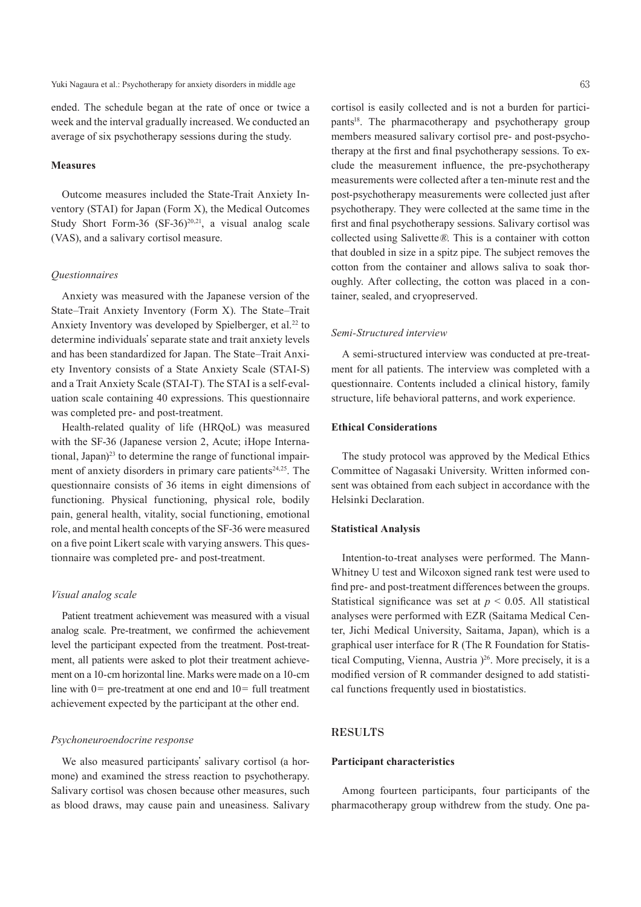#### Yuki Nagaura et al.: Psychotherapy for anxiety disorders in middle age 63

ended. The schedule began at the rate of once or twice a week and the interval gradually increased. We conducted an average of six psychotherapy sessions during the study.

### **Measures**

Outcome measures included the State-Trait Anxiety Inventory (STAI) for Japan (Form X), the Medical Outcomes Study Short Form-36  $(SF-36)^{20,21}$ , a visual analog scale (VAS), and a salivary cortisol measure.

## *Questionnaires*

Anxiety was measured with the Japanese version of the State–Trait Anxiety Inventory (Form X). The State–Trait Anxiety Inventory was developed by Spielberger, et al.<sup>22</sup> to determine individuals' separate state and trait anxiety levels and has been standardized for Japan. The State–Trait Anxiety Inventory consists of a State Anxiety Scale (STAI-S) and a Trait Anxiety Scale (STAI-T). The STAI is a self-evaluation scale containing 40 expressions. This questionnaire was completed pre- and post-treatment.

Health-related quality of life (HRQoL) was measured with the SF-36 (Japanese version 2, Acute; iHope International, Japan) <sup>23</sup> to determine the range of functional impairment of anxiety disorders in primary care patients<sup>24,25</sup>. The questionnaire consists of 36 items in eight dimensions of functioning. Physical functioning, physical role, bodily pain, general health, vitality, social functioning, emotional role, and mental health concepts of the SF-36 were measured on a five point Likert scale with varying answers. This questionnaire was completed pre- and post-treatment.

#### *Visual analog scale*

Patient treatment achievement was measured with a visual analog scale. Pre-treatment, we confirmed the achievement level the participant expected from the treatment. Post-treatment, all patients were asked to plot their treatment achievement on a 10-cm horizontal line. Marks were made on a 10-cm line with  $0=$  pre-treatment at one end and  $10=$  full treatment achievement expected by the participant at the other end.

## *Psychoneuroendocrine response*

We also measured participants' salivary cortisol (a hormone) and examined the stress reaction to psychotherapy. Salivary cortisol was chosen because other measures, such as blood draws, may cause pain and uneasiness. Salivary cortisol is easily collected and is not a burden for participants<sup>18</sup>. The pharmacotherapy and psychotherapy group members measured salivary cortisol pre- and post-psychotherapy at the first and final psychotherapy sessions. To exclude the measurement influence, the pre-psychotherapy measurements were collected after a ten-minute rest and the post-psychotherapy measurements were collected just after psychotherapy. They were collected at the same time in the first and final psychotherapy sessions. Salivary cortisol was collected using Salivette®. This is a container with cotton

that doubled in size in a spitz pipe. The subject removes the cotton from the container and allows saliva to soak thoroughly. After collecting, the cotton was placed in a container, sealed, and cryopreserved.

#### *Semi-Structured interview*

A semi-structured interview was conducted at pre-treatment for all patients. The interview was completed with a questionnaire. Contents included a clinical history, family structure, life behavioral patterns, and work experience.

#### **Ethical Considerations**

The study protocol was approved by the Medical Ethics Committee of Nagasaki University. Written informed consent was obtained from each subject in accordance with the Helsinki Declaration.

## **Statistical Analysis**

Intention-to-treat analyses were performed. The Mann-Whitney U test and Wilcoxon signed rank test were used to find pre- and post-treatment differences between the groups. Statistical significance was set at  $p < 0.05$ . All statistical analyses were performed with EZR (Saitama Medical Center, Jichi Medical University, Saitama, Japan), which is a graphical user interface for R (The R Foundation for Statistical Computing, Vienna, Austria ) 26 . More precisely, it is a modified version of R commander designed to add statistical functions frequently used in biostatistics.

## **RESULTS**

#### **Participant characteristics**

Among fourteen participants, four participants of the pharmacotherapy group withdrew from the study. One pa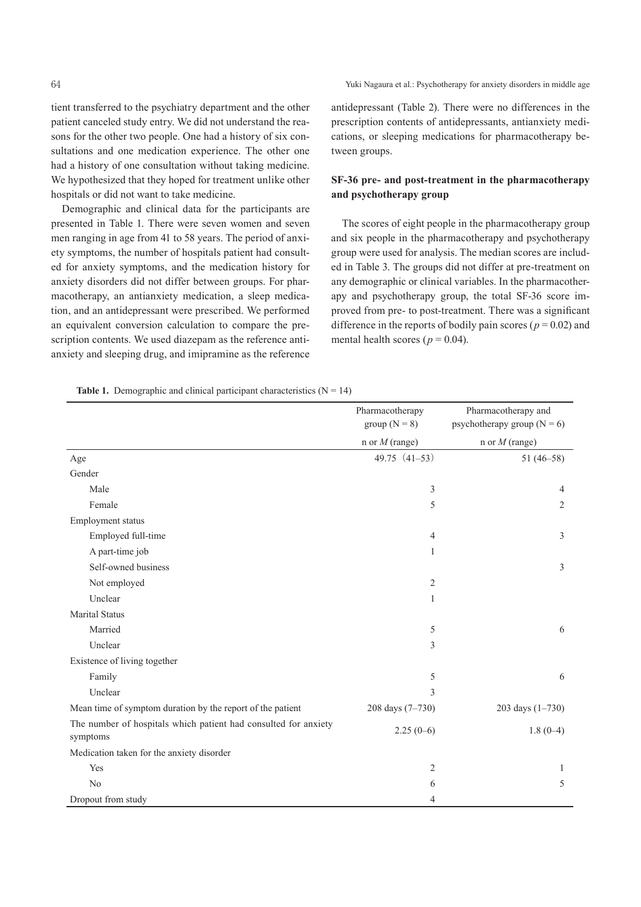tient transferred to the psychiatry department and the other patient canceled study entry. We did not understand the reasons for the other two people. One had a history of six consultations and one medication experience. The other one had a history of one consultation without taking medicine. We hypothesized that they hoped for treatment unlike other hospitals or did not want to take medicine.

Demographic and clinical data for the participants are presented in Table 1. There were seven women and seven men ranging in age from 41 to 58 years. The period of anxiety symptoms, the number of hospitals patient had consulted for anxiety symptoms, and the medication history for anxiety disorders did not differ between groups. For pharmacotherapy, an antianxiety medication, a sleep medication, and an antidepressant were prescribed. We performed an equivalent conversion calculation to compare the prescription contents. We used diazepam as the reference antianxiety and sleeping drug, and imipramine as the reference

antidepressant (Table 2). There were no differences in the prescription contents of antidepressants, antianxiety medications, or sleeping medications for pharmacotherapy between groups.

# **SF-36 pre- and post-treatment in the pharmacotherapy and psychotherapy group**

The scores of eight people in the pharmacotherapy group and six people in the pharmacotherapy and psychotherapy group were used for analysis. The median scores are included in Table 3. The groups did not differ at pre-treatment on any demographic or clinical variables. In the pharmacotherapy and psychotherapy group, the total SF-36 score improved from pre- to post-treatment. There was a significant difference in the reports of bodily pain scores ( $p = 0.02$ ) and mental health scores ( $p = 0.04$ ).

**Table 1.** Demographic and clinical participant characteristics  $(N = 14)$ 

|                                                                             | Pharmacotherapy<br>group ( $N = 8$ ) | Pharmacotherapy and<br>psychotherapy group ( $N = 6$ ) |
|-----------------------------------------------------------------------------|--------------------------------------|--------------------------------------------------------|
|                                                                             | n or $M$ (range)                     | n or $M$ (range)                                       |
| Age                                                                         | $49.75(41-53)$                       | $51(46-58)$                                            |
| Gender                                                                      |                                      |                                                        |
| Male                                                                        | 3                                    | 4                                                      |
| Female                                                                      | 5                                    | 2                                                      |
| Employment status                                                           |                                      |                                                        |
| Employed full-time                                                          | $\overline{4}$                       | 3                                                      |
| A part-time job                                                             | $\mathbf{1}$                         |                                                        |
| Self-owned business                                                         |                                      | 3                                                      |
| Not employed                                                                | $\sqrt{2}$                           |                                                        |
| Unclear                                                                     | $\mathbf{1}$                         |                                                        |
| <b>Marital Status</b>                                                       |                                      |                                                        |
| Married                                                                     | 5                                    | 6                                                      |
| Unclear                                                                     | $\mathfrak{Z}$                       |                                                        |
| Existence of living together                                                |                                      |                                                        |
| Family                                                                      | 5                                    | 6                                                      |
| Unclear                                                                     | 3                                    |                                                        |
| Mean time of symptom duration by the report of the patient                  | 208 days (7-730)                     | 203 days (1-730)                                       |
| The number of hospitals which patient had consulted for anxiety<br>symptoms | $2.25(0-6)$                          | $1.8(0-4)$                                             |
| Medication taken for the anxiety disorder                                   |                                      |                                                        |
| Yes                                                                         | $\overline{2}$                       | 1                                                      |
| No                                                                          | 6                                    | 5                                                      |
| Dropout from study                                                          | 4                                    |                                                        |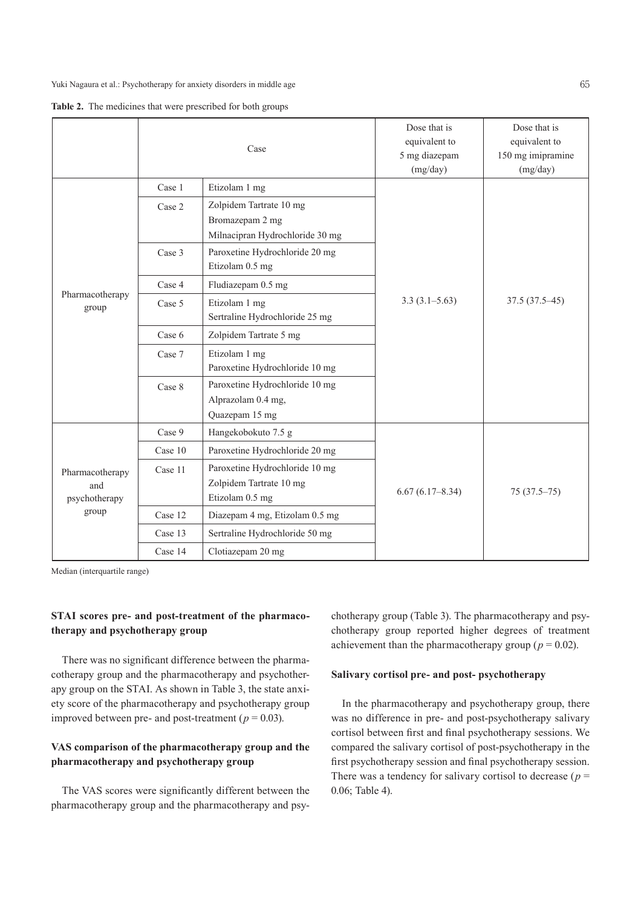|  |  |  | Table 2. The medicines that were prescribed for both groups |
|--|--|--|-------------------------------------------------------------|
|--|--|--|-------------------------------------------------------------|

|                                                  |         | Case                            | Dose that is<br>equivalent to<br>5 mg diazepam<br>(mg/day) | Dose that is<br>equivalent to<br>150 mg imipramine<br>(mg/day) |  |  |  |
|--------------------------------------------------|---------|---------------------------------|------------------------------------------------------------|----------------------------------------------------------------|--|--|--|
|                                                  | Case 1  | Etizolam 1 mg                   |                                                            |                                                                |  |  |  |
|                                                  | Case 2  | Zolpidem Tartrate 10 mg         |                                                            |                                                                |  |  |  |
|                                                  |         | Bromazepam 2 mg                 |                                                            |                                                                |  |  |  |
|                                                  |         | Milnacipran Hydrochloride 30 mg |                                                            |                                                                |  |  |  |
|                                                  | Case 3  | Paroxetine Hydrochloride 20 mg  |                                                            |                                                                |  |  |  |
|                                                  |         | Etizolam 0.5 mg                 |                                                            |                                                                |  |  |  |
|                                                  | Case 4  | Fludiazepam 0.5 mg              |                                                            |                                                                |  |  |  |
| Pharmacotherapy<br>group                         | Case 5  | Etizolam 1 mg                   | $3.3(3.1-5.63)$                                            | $37.5(37.5-45)$                                                |  |  |  |
|                                                  |         | Sertraline Hydrochloride 25 mg  |                                                            |                                                                |  |  |  |
|                                                  | Case 6  | Zolpidem Tartrate 5 mg          |                                                            |                                                                |  |  |  |
|                                                  | Case 7  | Etizolam 1 mg                   |                                                            |                                                                |  |  |  |
|                                                  |         | Paroxetine Hydrochloride 10 mg  |                                                            |                                                                |  |  |  |
|                                                  | Case 8  | Paroxetine Hydrochloride 10 mg  |                                                            |                                                                |  |  |  |
|                                                  |         | Alprazolam 0.4 mg,              |                                                            |                                                                |  |  |  |
|                                                  |         | Quazepam 15 mg                  |                                                            |                                                                |  |  |  |
|                                                  | Case 9  | Hangekobokuto 7.5 g             |                                                            |                                                                |  |  |  |
| Pharmacotherapy<br>and<br>psychotherapy<br>group | Case 10 | Paroxetine Hydrochloride 20 mg  |                                                            |                                                                |  |  |  |
|                                                  | Case 11 | Paroxetine Hydrochloride 10 mg  |                                                            |                                                                |  |  |  |
|                                                  |         | Zolpidem Tartrate 10 mg         |                                                            |                                                                |  |  |  |
|                                                  |         | Etizolam 0.5 mg                 | $6.67(6.17 - 8.34)$                                        | $75(37.5-75)$                                                  |  |  |  |
|                                                  | Case 12 | Diazepam 4 mg, Etizolam 0.5 mg  |                                                            |                                                                |  |  |  |
|                                                  | Case 13 | Sertraline Hydrochloride 50 mg  |                                                            |                                                                |  |  |  |
|                                                  | Case 14 | Clotiazepam 20 mg               |                                                            |                                                                |  |  |  |

Median (interquartile range)

# **STAI scores pre- and post-treatment of the pharmacotherapy and psychotherapy group**

There was no significant difference between the pharmacotherapy group and the pharmacotherapy and psychotherapy group on the STAI. As shown in Table 3, the state anxiety score of the pharmacotherapy and psychotherapy group improved between pre- and post-treatment ( $p = 0.03$ ).

# **VAS comparison of the pharmacotherapy group and the pharmacotherapy and psychotherapy group**

The VAS scores were significantly different between the pharmacotherapy group and the pharmacotherapy and psychotherapy group (Table 3). The pharmacotherapy and psychotherapy group reported higher degrees of treatment achievement than the pharmacotherapy group ( $p = 0.02$ ).

### **Salivary cortisol pre- and post- psychotherapy**

In the pharmacotherapy and psychotherapy group, there was no difference in pre- and post-psychotherapy salivary cortisol between first and final psychotherapy sessions. We compared the salivary cortisol of post-psychotherapy in the first psychotherapy session and final psychotherapy session. There was a tendency for salivary cortisol to decrease ( $p =$ 0.06; Table 4).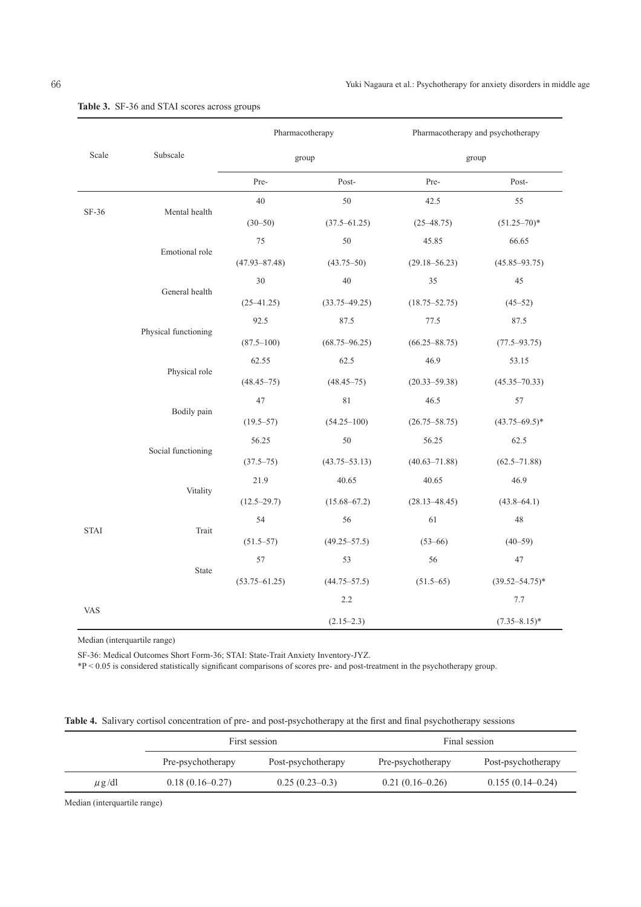|                      |                    | Pharmacotherapy   |                   | Pharmacotherapy and psychotherapy |                     |  |  |  |  |
|----------------------|--------------------|-------------------|-------------------|-----------------------------------|---------------------|--|--|--|--|
| Scale                | Subscale           |                   | group             | group                             |                     |  |  |  |  |
|                      |                    | Pre-              | Post-             | Pre-                              | Post-               |  |  |  |  |
|                      |                    | 40                | $50\,$            | 42.5                              | 55                  |  |  |  |  |
| SF-36                | Mental health      | $(30 - 50)$       | $(37.5 - 61.25)$  | $(25 - 48.75)$                    | $(51.25 - 70)^*$    |  |  |  |  |
|                      |                    | 75                | 50                | 45.85                             | 66.65               |  |  |  |  |
|                      | Emotional role     | $(47.93 - 87.48)$ | $(43.75 - 50)$    | $(29.18 - 56.23)$                 | $(45.85 - 93.75)$   |  |  |  |  |
|                      |                    | 30                | $40\,$            | 35                                | 45                  |  |  |  |  |
|                      | General health     | $(25 - 41.25)$    | $(33.75 - 49.25)$ | $(18.75 - 52.75)$                 | $(45 - 52)$         |  |  |  |  |
|                      |                    | 92.5              | 87.5              | 77.5                              | 87.5                |  |  |  |  |
| Physical functioning |                    | $(87.5 - 100)$    | $(68.75 - 96.25)$ | $(66.25 - 88.75)$                 | $(77.5 - 93.75)$    |  |  |  |  |
|                      |                    | 62.55             | 62.5              | 46.9                              | 53.15               |  |  |  |  |
| Physical role        | $(48.45 - 75)$     | $(48.45 - 75)$    | $(20.33 - 59.38)$ | $(45.35 - 70.33)$                 |                     |  |  |  |  |
|                      |                    | 47                | 81                | 46.5                              | 57                  |  |  |  |  |
| Bodily pain          |                    | $(19.5 - 57)$     | $(54.25 - 100)$   | $(26.75 - 58.75)$                 | $(43.75 - 69.5)^*$  |  |  |  |  |
|                      |                    | 56.25             | 50                | 56.25                             | 62.5                |  |  |  |  |
|                      | Social functioning | $(37.5 - 75)$     | $(43.75 - 53.13)$ | $(40.63 - 71.88)$                 | $(62.5 - 71.88)$    |  |  |  |  |
|                      |                    | 21.9              | 40.65             | 40.65                             | 46.9                |  |  |  |  |
| Vitality             |                    | $(12.5 - 29.7)$   | $(15.68 - 67.2)$  | $(28.13 - 48.45)$                 | $(43.8 - 64.1)$     |  |  |  |  |
|                      |                    | 54                | 56                | 61                                | $48\,$              |  |  |  |  |
| <b>STAI</b>          | Trait              | $(51.5 - 57)$     | $(49.25 - 57.5)$  | $(53 - 66)$                       | $(40 - 59)$         |  |  |  |  |
|                      |                    | 57                | 53                | 56                                | 47                  |  |  |  |  |
|                      | State              | $(53.75 - 61.25)$ | $(44.75 - 57.5)$  | $(51.5 - 65)$                     | $(39.52 - 54.75)^*$ |  |  |  |  |
|                      |                    |                   | 2.2               |                                   | $7.7\,$             |  |  |  |  |
| <b>VAS</b>           |                    |                   | $(2.15-2.3)$      |                                   | $(7.35 - 8.15)^*$   |  |  |  |  |

# **Table 3.** SF-36 and STAI scores across groups

Median (interquartile range)

SF-36: Medical Outcomes Short Form-36; STAI: State-Trait Anxiety Inventory-JYZ.

\*P < 0.05 is considered statistically significant comparisons of scores pre- and post-treatment in the psychotherapy group.

|  |  |  |  | Table 4. Salivary cortisol concentration of pre- and post-psychotherapy at the first and final psychotherapy sessions |  |  |  |  |  |  |  |  |  |  |  |  |  |
|--|--|--|--|-----------------------------------------------------------------------------------------------------------------------|--|--|--|--|--|--|--|--|--|--|--|--|--|
|--|--|--|--|-----------------------------------------------------------------------------------------------------------------------|--|--|--|--|--|--|--|--|--|--|--|--|--|

|            |                     | First session      |                   | Final session      |
|------------|---------------------|--------------------|-------------------|--------------------|
|            | Pre-psychotherapy   | Post-psychotherapy | Pre-psychotherapy | Post-psychotherapy |
| $\mu$ g/dl | $0.18(0.16 - 0.27)$ | $0.25(0.23-0.3)$   | $0.21(0.16-0.26)$ | $0.155(0.14-0.24)$ |

Median (interquartile range)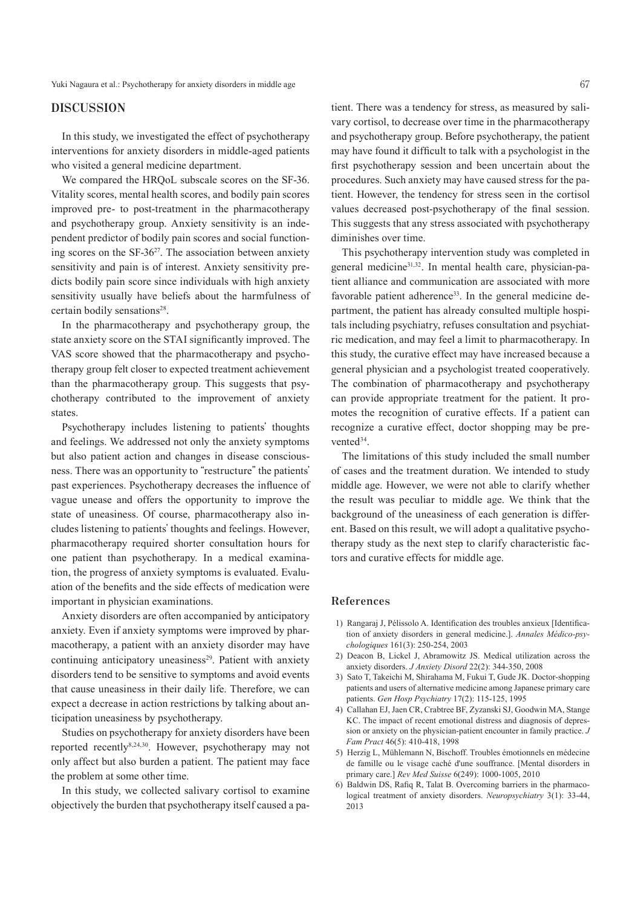Yuki Nagaura et al.: Psychotherapy for anxiety disorders in middle age 67

## **DISCUSSION**

In this study, we investigated the effect of psychotherapy interventions for anxiety disorders in middle-aged patients who visited a general medicine department.

We compared the HRQoL subscale scores on the SF-36. Vitality scores, mental health scores, and bodily pain scores improved pre- to post-treatment in the pharmacotherapy and psychotherapy group. Anxiety sensitivity is an independent predictor of bodily pain scores and social functioning scores on the SF-36<sup>27</sup>. The association between anxiety sensitivity and pain is of interest. Anxiety sensitivity predicts bodily pain score since individuals with high anxiety sensitivity usually have beliefs about the harmfulness of certain bodily sensations<sup>28</sup>.

In the pharmacotherapy and psychotherapy group, the state anxiety score on the STAI significantly improved. The VAS score showed that the pharmacotherapy and psychotherapy group felt closer to expected treatment achievement than the pharmacotherapy group. This suggests that psychotherapy contributed to the improvement of anxiety states.

Psychotherapy includes listening to patients' thoughts and feelings. We addressed not only the anxiety symptoms but also patient action and changes in disease consciousness. There was an opportunity to "restructure" the patients' past experiences. Psychotherapy decreases the influence of vague unease and offers the opportunity to improve the state of uneasiness. Of course, pharmacotherapy also includes listening to patients' thoughts and feelings. However, pharmacotherapy required shorter consultation hours for one patient than psychotherapy. In a medical examination, the progress of anxiety symptoms is evaluated. Evaluation of the benefits and the side effects of medication were important in physician examinations.

Anxiety disorders are often accompanied by anticipatory anxiety. Even if anxiety symptoms were improved by pharmacotherapy, a patient with an anxiety disorder may have continuing anticipatory uneasiness<sup>29</sup>. Patient with anxiety disorders tend to be sensitive to symptoms and avoid events that cause uneasiness in their daily life. Therefore, we can expect a decrease in action restrictions by talking about anticipation uneasiness by psychotherapy.

Studies on psychotherapy for anxiety disorders have been reported recently<sup>8,24,30</sup>. However, psychotherapy may not only affect but also burden a patient. The patient may face the problem at some other time.

In this study, we collected salivary cortisol to examine objectively the burden that psychotherapy itself caused a patient. There was a tendency for stress, as measured by salivary cortisol, to decrease over time in the pharmacotherapy and psychotherapy group. Before psychotherapy, the patient may have found it difficult to talk with a psychologist in the first psychotherapy session and been uncertain about the procedures. Such anxiety may have caused stress for the patient. However, the tendency for stress seen in the cortisol values decreased post-psychotherapy of the final session. This suggests that any stress associated with psychotherapy diminishes over time.

This psychotherapy intervention study was completed in general medicine31,32 . In mental health care, physician-patient alliance and communication are associated with more favorable patient adherence<sup>33</sup>. In the general medicine department, the patient has already consulted multiple hospitals including psychiatry, refuses consultation and psychiatric medication, and may feel a limit to pharmacotherapy. In this study, the curative effect may have increased because a general physician and a psychologist treated cooperatively. The combination of pharmacotherapy and psychotherapy can provide appropriate treatment for the patient. It promotes the recognition of curative effects. If a patient can recognize a curative effect, doctor shopping may be prevented<sup>34</sup>.

The limitations of this study included the small number of cases and the treatment duration. We intended to study middle age. However, we were not able to clarify whether the result was peculiar to middle age. We think that the background of the uneasiness of each generation is different. Based on this result, we will adopt a qualitative psychotherapy study as the next step to clarify characteristic factors and curative effects for middle age.

#### **References**

- 1) Rangaraj J, Pélissolo A. Identification des troubles anxieux [Identification of anxiety disorders in general medicine.]. *Annales Médico-psychologiques* 161(3): 250-254, 2003
- 2) Deacon B, Lickel J, Abramowitz JS. Medical utilization across the anxiety disorders. *J Anxiety Disord* 22(2): 344-350, 2008
- 3) Sato T, Takeichi M, Shirahama M, Fukui T, Gude JK. Doctor-shopping patients and users of alternative medicine among Japanese primary care patients. *Gen Hosp Psychiatry* 17(2): 115-125, 1995
- 4) Callahan EJ, Jaen CR, Crabtree BF, Zyzanski SJ, Goodwin MA, Stange KC. The impact of recent emotional distress and diagnosis of depression or anxiety on the physician-patient encounter in family practice. *J Fam Pract* 46(5): 410-418, 1998
- 5) Herzig L, Mühlemann N, Bischoff. Troubles émotionnels en médecine de famille ou le visage caché d'une souffrance. [Mental disorders in primary care.] *Rev Med Suisse* 6(249): 1000-1005, 2010
- 6) Baldwin DS, Rafiq R, Talat B. Overcoming barriers in the pharmacological treatment of anxiety disorders. *Neuropsychiatry* 3(1): 33-44, 2013